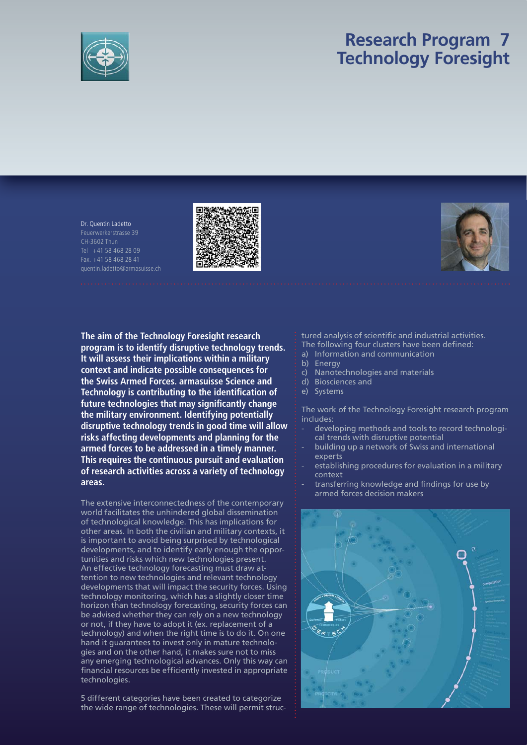

# **Research Program 7 Technology Foresight**

Dr. Quentin Ladetto Feuerwerkerstrasse 39 CH-3602 Thun Tel +41 58 468 28 09 Fax. +41 58 468 28 41 quentin.ladetto@armasuisse.ch





**The aim of the Technology Foresight research program is to identify disruptive technology trends. It will assess their implications within a military context and indicate possible consequences for the Swiss Armed Forces. armasuisse Science and Technology is contributing to the identification of** future technologies that may significantly change **the military environment. Identifying potentially disruptive technology trends in good time will allow risks affecting developments and planning for the armed forces to be addressed in a timely manner. This requires the continuous pursuit and evaluation of research activities across a variety of technology areas.** 

The extensive interconnectedness of the contemporary world facilitates the unhindered global dissemination of technological knowledge. This has implications for other areas. In both the civilian and military contexts, it is important to avoid being surprised by technological developments, and to identify early enough the opportunities and risks which new technologies present. An effective technology forecasting must draw attention to new technologies and relevant technology developments that will impact the security forces. Using technology monitoring, which has a slightly closer time horizon than technology forecasting, security forces can be advised whether they can rely on a new technology or not, if they have to adopt it (ex. replacement of a technology) and when the right time is to do it. On one hand it guarantees to invest only in mature technologies and on the other hand, it makes sure not to miss any emerging technological advances. Only this way can financial resources be efficiently invested in appropriate technologies.

5 different categories have been created to categorize the wide range of technologies. These will permit structured analysis of scientific and industrial activities.

- The following four clusters have been defined:
- a) Information and communication
- b) Energy
- c) Nanotechnologies and materials
- d) Biosciences and
- e) Systems

The work of the Technology Foresight research program includes:

- developing methods and tools to record technological trends with disruptive potential
- building up a network of Swiss and international experts
- establishing procedures for evaluation in a military context
- transferring knowledge and findings for use by armed forces decision makers